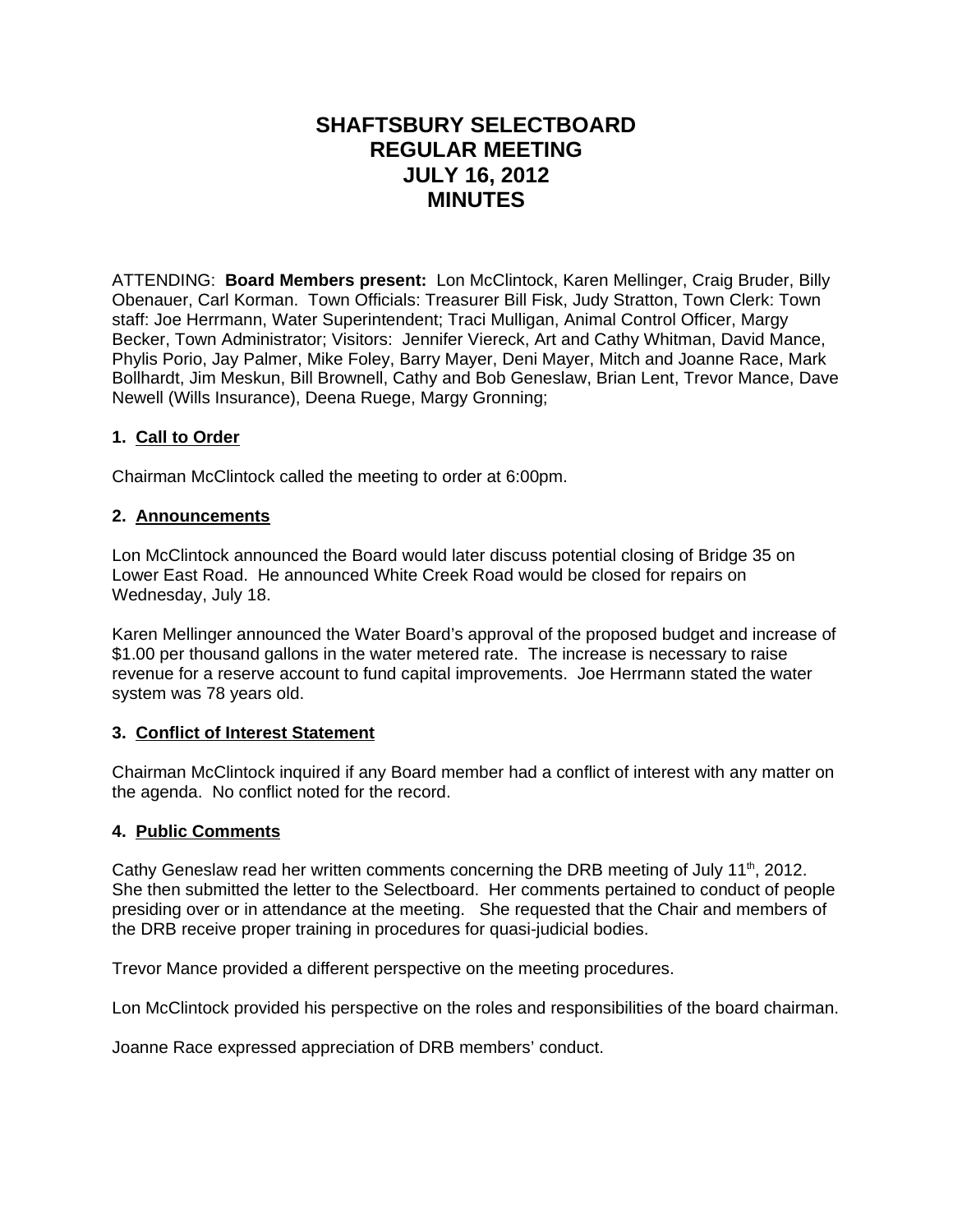# **SHAFTSBURY SELECTBOARD REGULAR MEETING JULY 16, 2012 MINUTES**

ATTENDING: **Board Members present:** Lon McClintock, Karen Mellinger, Craig Bruder, Billy Obenauer, Carl Korman. Town Officials: Treasurer Bill Fisk, Judy Stratton, Town Clerk: Town staff: Joe Herrmann, Water Superintendent; Traci Mulligan, Animal Control Officer, Margy Becker, Town Administrator; Visitors: Jennifer Viereck, Art and Cathy Whitman, David Mance, Phylis Porio, Jay Palmer, Mike Foley, Barry Mayer, Deni Mayer, Mitch and Joanne Race, Mark Bollhardt, Jim Meskun, Bill Brownell, Cathy and Bob Geneslaw, Brian Lent, Trevor Mance, Dave Newell (Wills Insurance), Deena Ruege, Margy Gronning;

## **1. Call to Order**

Chairman McClintock called the meeting to order at 6:00pm.

### **2. Announcements**

Lon McClintock announced the Board would later discuss potential closing of Bridge 35 on Lower East Road. He announced White Creek Road would be closed for repairs on Wednesday, July 18.

Karen Mellinger announced the Water Board's approval of the proposed budget and increase of \$1.00 per thousand gallons in the water metered rate. The increase is necessary to raise revenue for a reserve account to fund capital improvements. Joe Herrmann stated the water system was 78 years old.

### **3. Conflict of Interest Statement**

Chairman McClintock inquired if any Board member had a conflict of interest with any matter on the agenda. No conflict noted for the record.

### **4. Public Comments**

Cathy Geneslaw read her written comments concerning the DRB meeting of July 11<sup>th</sup>, 2012. She then submitted the letter to the Selectboard. Her comments pertained to conduct of people presiding over or in attendance at the meeting. She requested that the Chair and members of the DRB receive proper training in procedures for quasi-judicial bodies.

Trevor Mance provided a different perspective on the meeting procedures.

Lon McClintock provided his perspective on the roles and responsibilities of the board chairman.

Joanne Race expressed appreciation of DRB members' conduct.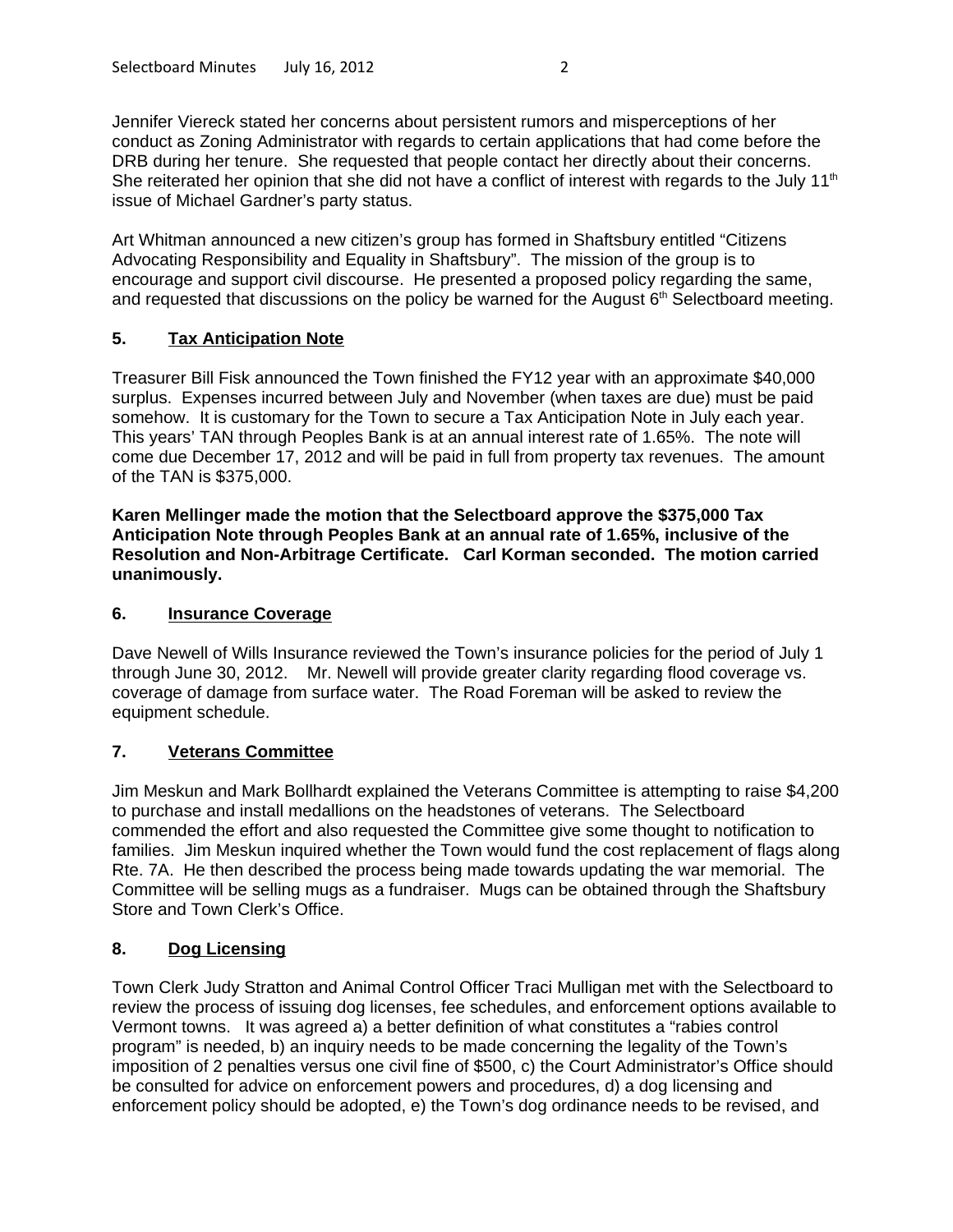Jennifer Viereck stated her concerns about persistent rumors and misperceptions of her conduct as Zoning Administrator with regards to certain applications that had come before the DRB during her tenure. She requested that people contact her directly about their concerns. She reiterated her opinion that she did not have a conflict of interest with regards to the July 11<sup>th</sup> issue of Michael Gardner's party status.

Art Whitman announced a new citizen's group has formed in Shaftsbury entitled "Citizens Advocating Responsibility and Equality in Shaftsbury". The mission of the group is to encourage and support civil discourse. He presented a proposed policy regarding the same, and requested that discussions on the policy be warned for the August  $6<sup>th</sup>$  Selectboard meeting.

### **5. Tax Anticipation Note**

Treasurer Bill Fisk announced the Town finished the FY12 year with an approximate \$40,000 surplus. Expenses incurred between July and November (when taxes are due) must be paid somehow. It is customary for the Town to secure a Tax Anticipation Note in July each year. This years' TAN through Peoples Bank is at an annual interest rate of 1.65%. The note will come due December 17, 2012 and will be paid in full from property tax revenues. The amount of the TAN is \$375,000.

**Karen Mellinger made the motion that the Selectboard approve the \$375,000 Tax Anticipation Note through Peoples Bank at an annual rate of 1.65%, inclusive of the Resolution and Non-Arbitrage Certificate. Carl Korman seconded. The motion carried unanimously.**

### **6. Insurance Coverage**

Dave Newell of Wills Insurance reviewed the Town's insurance policies for the period of July 1 through June 30, 2012. Mr. Newell will provide greater clarity regarding flood coverage vs. coverage of damage from surface water. The Road Foreman will be asked to review the equipment schedule.

## **7. Veterans Committee**

Jim Meskun and Mark Bollhardt explained the Veterans Committee is attempting to raise \$4,200 to purchase and install medallions on the headstones of veterans. The Selectboard commended the effort and also requested the Committee give some thought to notification to families. Jim Meskun inquired whether the Town would fund the cost replacement of flags along Rte. 7A. He then described the process being made towards updating the war memorial. The Committee will be selling mugs as a fundraiser. Mugs can be obtained through the Shaftsbury Store and Town Clerk's Office.

## **8. Dog Licensing**

Town Clerk Judy Stratton and Animal Control Officer Traci Mulligan met with the Selectboard to review the process of issuing dog licenses, fee schedules, and enforcement options available to Vermont towns. It was agreed a) a better definition of what constitutes a "rabies control program" is needed, b) an inquiry needs to be made concerning the legality of the Town's imposition of 2 penalties versus one civil fine of \$500, c) the Court Administrator's Office should be consulted for advice on enforcement powers and procedures, d) a dog licensing and enforcement policy should be adopted, e) the Town's dog ordinance needs to be revised, and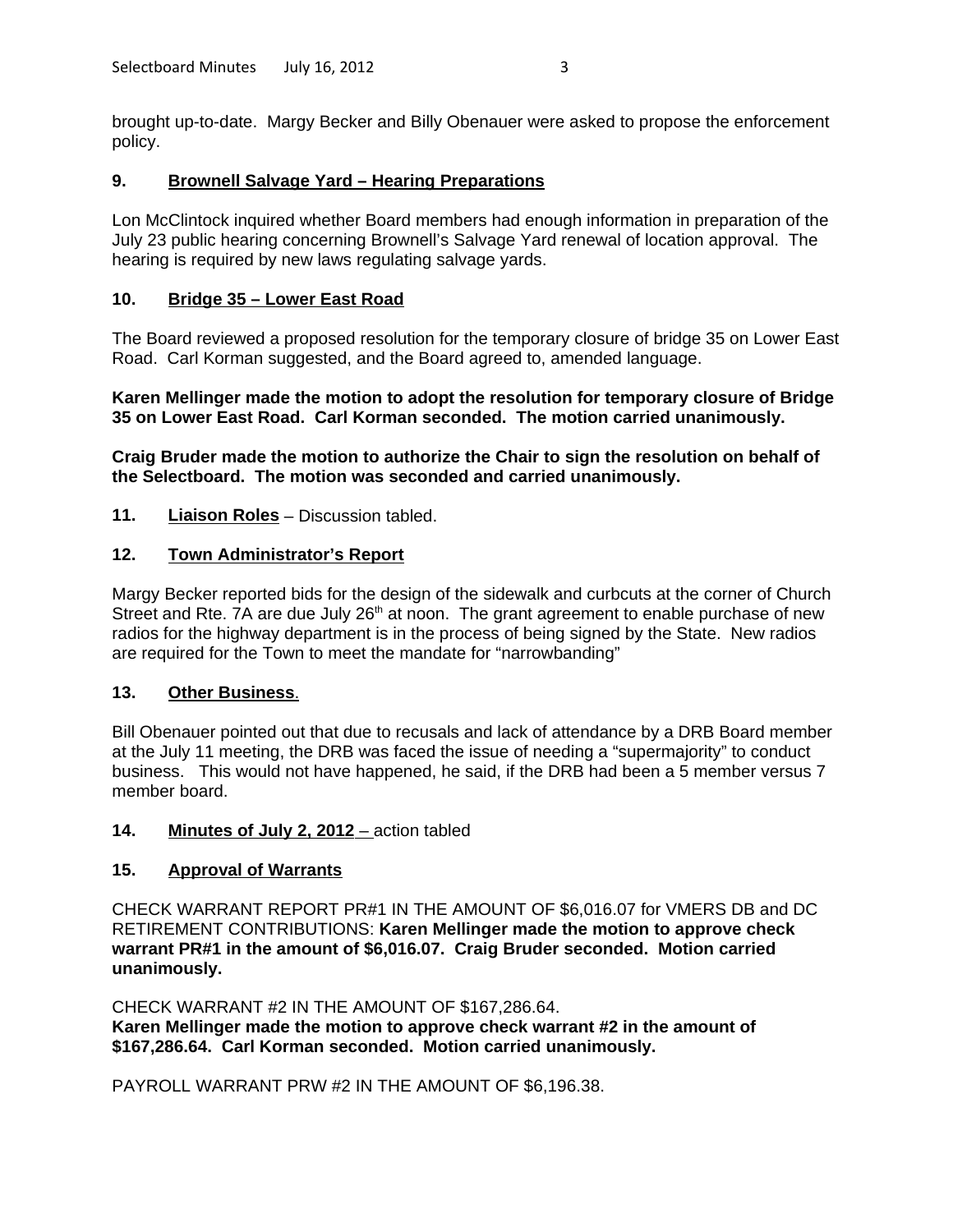brought up-to-date. Margy Becker and Billy Obenauer were asked to propose the enforcement policy.

### **9. Brownell Salvage Yard – Hearing Preparations**

Lon McClintock inquired whether Board members had enough information in preparation of the July 23 public hearing concerning Brownell's Salvage Yard renewal of location approval. The hearing is required by new laws regulating salvage yards.

### **10. Bridge 35 – Lower East Road**

The Board reviewed a proposed resolution for the temporary closure of bridge 35 on Lower East Road. Carl Korman suggested, and the Board agreed to, amended language.

**Karen Mellinger made the motion to adopt the resolution for temporary closure of Bridge 35 on Lower East Road. Carl Korman seconded. The motion carried unanimously.**

**Craig Bruder made the motion to authorize the Chair to sign the resolution on behalf of the Selectboard. The motion was seconded and carried unanimously.**

**11. Liaison Roles** – Discussion tabled.

#### **12. Town Administrator's Report**

Margy Becker reported bids for the design of the sidewalk and curbcuts at the corner of Church Street and Rte. 7A are due July  $26<sup>th</sup>$  at noon. The grant agreement to enable purchase of new radios for the highway department is in the process of being signed by the State. New radios are required for the Town to meet the mandate for "narrowbanding"

### **13. Other Business** .

Bill Obenauer pointed out that due to recusals and lack of attendance by a DRB Board member at the July 11 meeting, the DRB was faced the issue of needing a "supermajority" to conduct business. This would not have happened, he said, if the DRB had been a 5 member versus 7 member board.

#### **14. Minutes of July 2, 2012** – action tabled

### **15. Approval of Warrants**

CHECK WARRANT REPORT PR#1 IN THE AMOUNT OF \$6,016.07 for VMERS DB and DC RETIREMENT CONTRIBUTIONS: **Karen Mellinger made the motion to approve check warrant PR#1 in the amount of \$6,016.07. Craig Bruder seconded. Motion carried unanimously.**

CHECK WARRANT #2 IN THE AMOUNT OF \$167,286.64.

**Karen Mellinger made the motion to approve check warrant #2 in the amount of \$167,286.64. Carl Korman seconded. Motion carried unanimously.**

PAYROLL WARRANT PRW #2 IN THE AMOUNT OF \$6,196.38.